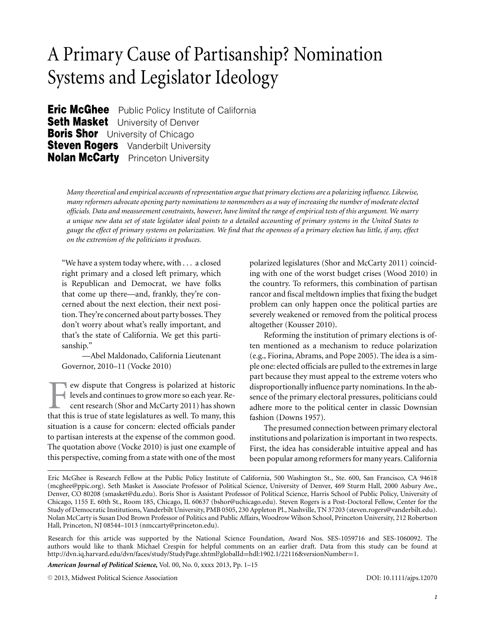# A Primary Cause of Partisanship? Nomination Systems and Legislator Ideology

**Eric McGhee** Public Policy Institute of California **Seth Masket** University of Denver **Boris Shor** University of Chicago **Steven Rogers** Vanderbilt University **Nolan McCarty** Princeton University

*Many theoretical and empirical accounts of representation argue that primary elections are a polarizing influence. Likewise, many reformers advocate opening party nominations to nonmembers as a way of increasing the number of moderate elected officials. Data and measurement constraints, however, have limited the range of empirical tests of this argument. We marry a unique new data set of state legislator ideal points to a detailed accounting of primary systems in the United States to gauge the effect of primary systems on polarization. We find that the openness of a primary election has little, if any, effect on the extremism of the politicians it produces.*

"We have a system today where, with . . . a closed right primary and a closed left primary, which is Republican and Democrat, we have folks that come up there—and, frankly, they're concerned about the next election, their next position. They're concerned about party bosses. They don't worry about what's really important, and that's the state of California. We get this partisanship."

—Abel Maldonado, California Lieutenant Governor, 2010–11 (Vocke 2010)

Few dispute that Congress is polarized at historic<br>levels and continues to grow more so each year. Recent research (Shor and McCarty 2011) has shown<br>that this is true of state legislatures as well. To many, this levels and continues to grow more so each year. Recent research (Shor and McCarty 2011) has shown that this is true of state legislatures as well. To many, this situation is a cause for concern: elected officials pander to partisan interests at the expense of the common good. The quotation above (Vocke 2010) is just one example of this perspective, coming from a state with one of the most polarized legislatures (Shor and McCarty 2011) coinciding with one of the worst budget crises (Wood 2010) in the country. To reformers, this combination of partisan rancor and fiscal meltdown implies that fixing the budget problem can only happen once the political parties are severely weakened or removed from the political process altogether (Kousser 2010).

Reforming the institution of primary elections is often mentioned as a mechanism to reduce polarization (e.g., Fiorina, Abrams, and Pope 2005). The idea is a simple one: elected officials are pulled to the extremes in large part because they must appeal to the extreme voters who disproportionally influence party nominations. In the absence of the primary electoral pressures, politicians could adhere more to the political center in classic Downsian fashion (Downs 1957).

The presumed connection between primary electoral institutions and polarization is important in two respects. First, the idea has considerable intuitive appeal and has been popular among reformers for many years. California

Eric McGhee is Research Fellow at the Public Policy Institute of California, 500 Washington St., Ste. 600, San Francisco, CA 94618 (mcghee@ppic.org). Seth Masket is Associate Professor of Political Science, University of Denver, 469 Sturm Hall, 2000 Asbury Ave., Denver, CO 80208 (smasket@du.edu). Boris Shor is Assistant Professor of Political Science, Harris School of Public Policy, University of Chicago, 1155 E. 60th St., Room 185, Chicago, IL 60637 (bshor@uchicago.edu). Steven Rogers is a Post-Doctoral Fellow, Center for the Study of Democratic Institutions, Vanderbilt University, PMB 0505, 230 Appleton Pl., Nashville, TN 37203 (steven.rogers@vanderbilt.edu). Nolan McCarty is Susan Dod Brown Professor of Politics and Public Affairs, Woodrow Wilson School, Princeton University, 212 Robertson Hall, Princeton, NJ 08544–1013 (nmccarty@princeton.edu).

Research for this article was supported by the National Science Foundation, Award Nos. SES-1059716 and SES-1060092. The authors would like to thank Michael Crespin for helpful comments on an earlier draft. Data from this study can be found at http://dvn.iq.harvard.edu/dvn/faces/study/StudyPage.xhtml?globalId=hdl:1902.1/22116&versionNumber=1.

*American Journal of Political Science***,** Vol. 00, No. 0, xxxx 2013, Pp. 1–15

-<sup>C</sup> 2013, Midwest Political Science Association DOI: 10.1111/ajps.12070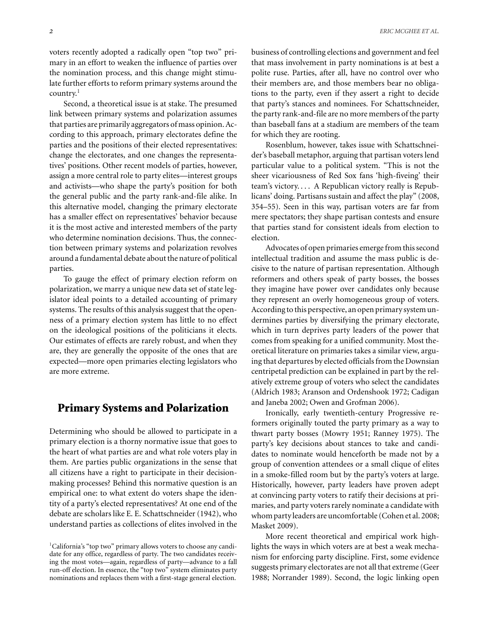voters recently adopted a radically open "top two" primary in an effort to weaken the influence of parties over the nomination process, and this change might stimulate further efforts to reform primary systems around the country.<sup>1</sup>

Second, a theoretical issue is at stake. The presumed link between primary systems and polarization assumes that parties are primarily aggregators of mass opinion. According to this approach, primary electorates define the parties and the positions of their elected representatives: change the electorates, and one changes the representatives' positions. Other recent models of parties, however, assign a more central role to party elites—interest groups and activists—who shape the party's position for both the general public and the party rank-and-file alike. In this alternative model, changing the primary electorate has a smaller effect on representatives' behavior because it is the most active and interested members of the party who determine nomination decisions. Thus, the connection between primary systems and polarization revolves around a fundamental debate about the nature of political parties.

To gauge the effect of primary election reform on polarization, we marry a unique new data set of state legislator ideal points to a detailed accounting of primary systems. The results of this analysis suggest that the openness of a primary election system has little to no effect on the ideological positions of the politicians it elects. Our estimates of effects are rarely robust, and when they are, they are generally the opposite of the ones that are expected—more open primaries electing legislators who are more extreme.

### **Primary Systems and Polarization**

Determining who should be allowed to participate in a primary election is a thorny normative issue that goes to the heart of what parties are and what role voters play in them. Are parties public organizations in the sense that all citizens have a right to participate in their decisionmaking processes? Behind this normative question is an empirical one: to what extent do voters shape the identity of a party's elected representatives? At one end of the debate are scholars like E. E. Schattschneider (1942), who understand parties as collections of elites involved in the business of controlling elections and government and feel that mass involvement in party nominations is at best a polite ruse. Parties, after all, have no control over who their members are, and those members bear no obligations to the party, even if they assert a right to decide that party's stances and nominees. For Schattschneider, the party rank-and-file are no more members of the party than baseball fans at a stadium are members of the team for which they are rooting.

Rosenblum, however, takes issue with Schattschneider's baseball metaphor, arguing that partisan voters lend particular value to a political system. "This is not the sheer vicariousness of Red Sox fans 'high-fiveing' their team's victory. . . . A Republican victory really is Republicans' doing. Partisans sustain and affect the play" (2008, 354–55). Seen in this way, partisan voters are far from mere spectators; they shape partisan contests and ensure that parties stand for consistent ideals from election to election.

Advocates of open primaries emerge from this second intellectual tradition and assume the mass public is decisive to the nature of partisan representation. Although reformers and others speak of party bosses, the bosses they imagine have power over candidates only because they represent an overly homogeneous group of voters. According to this perspective, an open primary system undermines parties by diversifying the primary electorate, which in turn deprives party leaders of the power that comes from speaking for a unified community. Most theoretical literature on primaries takes a similar view, arguing that departures by elected officials from the Downsian centripetal prediction can be explained in part by the relatively extreme group of voters who select the candidates (Aldrich 1983; Aranson and Ordenshook 1972; Cadigan and Janeba 2002; Owen and Grofman 2006).

Ironically, early twentieth-century Progressive reformers originally touted the party primary as a way to thwart party bosses (Mowry 1951; Ranney 1975). The party's key decisions about stances to take and candidates to nominate would henceforth be made not by a group of convention attendees or a small clique of elites in a smoke-filled room but by the party's voters at large. Historically, however, party leaders have proven adept at convincing party voters to ratify their decisions at primaries, and party voters rarely nominate a candidate with whom party leaders are uncomfortable (Cohen et al. 2008; Masket 2009).

More recent theoretical and empirical work highlights the ways in which voters are at best a weak mechanism for enforcing party discipline. First, some evidence suggests primary electorates are not all that extreme (Geer 1988; Norrander 1989). Second, the logic linking open

<sup>&</sup>lt;sup>1</sup>California's "top two" primary allows voters to choose any candidate for any office, regardless of party. The two candidates receiving the most votes—again, regardless of party—advance to a fall run-off election. In essence, the "top two" system eliminates party nominations and replaces them with a first-stage general election.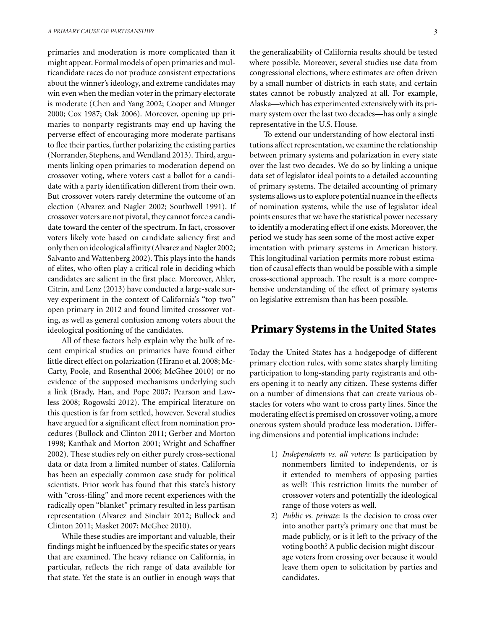primaries and moderation is more complicated than it might appear. Formal models of open primaries and multicandidate races do not produce consistent expectations about the winner's ideology, and extreme candidates may win even when the median voter in the primary electorate is moderate (Chen and Yang 2002; Cooper and Munger 2000; Cox 1987; Oak 2006). Moreover, opening up primaries to nonparty registrants may end up having the perverse effect of encouraging more moderate partisans to flee their parties, further polarizing the existing parties (Norrander, Stephens, and Wendland 2013). Third, arguments linking open primaries to moderation depend on crossover voting, where voters cast a ballot for a candidate with a party identification different from their own. But crossover voters rarely determine the outcome of an election (Alvarez and Nagler 2002; Southwell 1991). If crossover voters are not pivotal, they cannot force a candidate toward the center of the spectrum. In fact, crossover voters likely vote based on candidate saliency first and only then on ideological affinity (Alvarez and Nagler 2002; Salvanto and Wattenberg 2002). This plays into the hands of elites, who often play a critical role in deciding which candidates are salient in the first place. Moreover, Ahler, Citrin, and Lenz (2013) have conducted a large-scale survey experiment in the context of California's "top two" open primary in 2012 and found limited crossover voting, as well as general confusion among voters about the ideological positioning of the candidates.

All of these factors help explain why the bulk of recent empirical studies on primaries have found either little direct effect on polarization (Hirano et al. 2008; Mc-Carty, Poole, and Rosenthal 2006; McGhee 2010) or no evidence of the supposed mechanisms underlying such a link (Brady, Han, and Pope 2007; Pearson and Lawless 2008; Rogowski 2012). The empirical literature on this question is far from settled, however. Several studies have argued for a significant effect from nomination procedures (Bullock and Clinton 2011; Gerber and Morton 1998; Kanthak and Morton 2001; Wright and Schaffner 2002). These studies rely on either purely cross-sectional data or data from a limited number of states. California has been an especially common case study for political scientists. Prior work has found that this state's history with "cross-filing" and more recent experiences with the radically open "blanket" primary resulted in less partisan representation (Alvarez and Sinclair 2012; Bullock and Clinton 2011; Masket 2007; McGhee 2010).

While these studies are important and valuable, their findings might be influenced by the specific states or years that are examined. The heavy reliance on California, in particular, reflects the rich range of data available for that state. Yet the state is an outlier in enough ways that the generalizability of California results should be tested where possible. Moreover, several studies use data from congressional elections, where estimates are often driven by a small number of districts in each state, and certain states cannot be robustly analyzed at all. For example, Alaska—which has experimented extensively with its primary system over the last two decades—has only a single representative in the U.S. House.

To extend our understanding of how electoral institutions affect representation, we examine the relationship between primary systems and polarization in every state over the last two decades. We do so by linking a unique data set of legislator ideal points to a detailed accounting of primary systems. The detailed accounting of primary systems allows us to explore potential nuance in the effects of nomination systems, while the use of legislator ideal points ensures that we have the statistical power necessary to identify a moderating effect if one exists. Moreover, the period we study has seen some of the most active experimentation with primary systems in American history. This longitudinal variation permits more robust estimation of causal effects than would be possible with a simple cross-sectional approach. The result is a more comprehensive understanding of the effect of primary systems on legislative extremism than has been possible.

## **Primary Systems in the United States**

Today the United States has a hodgepodge of different primary election rules, with some states sharply limiting participation to long-standing party registrants and others opening it to nearly any citizen. These systems differ on a number of dimensions that can create various obstacles for voters who want to cross party lines. Since the moderating effect is premised on crossover voting, a more onerous system should produce less moderation. Differing dimensions and potential implications include:

- 1) *Independents vs. all voters*: Is participation by nonmembers limited to independents, or is it extended to members of opposing parties as well? This restriction limits the number of crossover voters and potentially the ideological range of those voters as well.
- 2) *Public vs. private*: Is the decision to cross over into another party's primary one that must be made publicly, or is it left to the privacy of the voting booth? A public decision might discourage voters from crossing over because it would leave them open to solicitation by parties and candidates.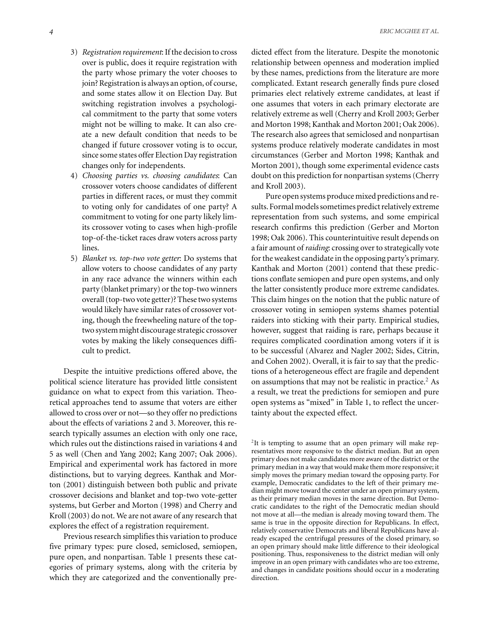- 3) *Registration requirement*: If the decision to cross over is public, does it require registration with the party whose primary the voter chooses to join? Registration is always an option, of course, and some states allow it on Election Day. But switching registration involves a psychological commitment to the party that some voters might not be willing to make. It can also create a new default condition that needs to be changed if future crossover voting is to occur, since some states offer Election Day registration changes only for independents.
- 4) *Choosing parties vs. choosing candidates*: Can crossover voters choose candidates of different parties in different races, or must they commit to voting only for candidates of one party? A commitment to voting for one party likely limits crossover voting to cases when high-profile top-of-the-ticket races draw voters across party lines.
- 5) *Blanket vs. top-two vote getter*: Do systems that allow voters to choose candidates of any party in any race advance the winners within each party (blanket primary) or the top-two winners overall (top-two vote getter)? These two systems would likely have similar rates of crossover voting, though the freewheeling nature of the toptwo systemmight discourage strategic crossover votes by making the likely consequences difficult to predict.

Despite the intuitive predictions offered above, the political science literature has provided little consistent guidance on what to expect from this variation. Theoretical approaches tend to assume that voters are either allowed to cross over or not—so they offer no predictions about the effects of variations 2 and 3. Moreover, this research typically assumes an election with only one race, which rules out the distinctions raised in variations 4 and 5 as well (Chen and Yang 2002; Kang 2007; Oak 2006). Empirical and experimental work has factored in more distinctions, but to varying degrees. Kanthak and Morton (2001) distinguish between both public and private crossover decisions and blanket and top-two vote-getter systems, but Gerber and Morton (1998) and Cherry and Kroll (2003) do not. We are not aware of any research that explores the effect of a registration requirement.

Previous research simplifies this variation to produce five primary types: pure closed, semiclosed, semiopen, pure open, and nonpartisan. Table 1 presents these categories of primary systems, along with the criteria by which they are categorized and the conventionally predicted effect from the literature. Despite the monotonic relationship between openness and moderation implied by these names, predictions from the literature are more complicated. Extant research generally finds pure closed primaries elect relatively extreme candidates, at least if one assumes that voters in each primary electorate are relatively extreme as well (Cherry and Kroll 2003; Gerber and Morton 1998; Kanthak and Morton 2001; Oak 2006). The research also agrees that semiclosed and nonpartisan systems produce relatively moderate candidates in most circumstances (Gerber and Morton 1998; Kanthak and Morton 2001), though some experimental evidence casts doubt on this prediction for nonpartisan systems (Cherry and Kroll 2003).

Pure open systems produce mixed predictions and results. Formal models sometimes predict relatively extreme representation from such systems, and some empirical research confirms this prediction (Gerber and Morton 1998; Oak 2006). This counterintuitive result depends on a fair amount of*raiding*: crossing over to strategically vote for the weakest candidate in the opposing party's primary. Kanthak and Morton (2001) contend that these predictions conflate semiopen and pure open systems, and only the latter consistently produce more extreme candidates. This claim hinges on the notion that the public nature of crossover voting in semiopen systems shames potential raiders into sticking with their party. Empirical studies, however, suggest that raiding is rare, perhaps because it requires complicated coordination among voters if it is to be successful (Alvarez and Nagler 2002; Sides, Citrin, and Cohen 2002). Overall, it is fair to say that the predictions of a heterogeneous effect are fragile and dependent on assumptions that may not be realistic in practice.<sup>2</sup> As a result, we treat the predictions for semiopen and pure open systems as "mixed" in Table 1, to reflect the uncertainty about the expected effect.

<sup>2</sup>It is tempting to assume that an open primary will make representatives more responsive to the district median. But an open primary does not make candidates more aware of the district or the primary median in a way that would make them more responsive; it simply moves the primary median toward the opposing party. For example, Democratic candidates to the left of their primary median might move toward the center under an open primary system, as their primary median moves in the same direction. But Democratic candidates to the right of the Democratic median should not move at all—the median is already moving toward them. The same is true in the opposite direction for Republicans. In effect, relatively conservative Democrats and liberal Republicans have already escaped the centrifugal pressures of the closed primary, so an open primary should make little difference to their ideological positioning. Thus, responsiveness to the district median will only improve in an open primary with candidates who are too extreme, and changes in candidate positions should occur in a moderating direction.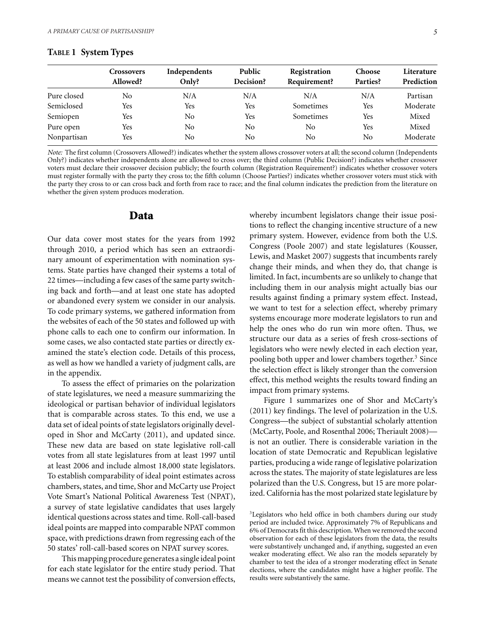|             | <b>Crossovers</b><br>Allowed? | Independents<br>Only? | Public<br>Decision? | Registration<br>Requirement? | Choose<br>Parties? | Literature<br>Prediction |
|-------------|-------------------------------|-----------------------|---------------------|------------------------------|--------------------|--------------------------|
| Pure closed | No                            | N/A                   | N/A                 | N/A                          | N/A                | Partisan                 |
| Semiclosed  | Yes                           | Yes                   | Yes                 | Sometimes                    | Yes                | Moderate                 |
| Semiopen    | Yes                           | No                    | Yes                 | Sometimes                    | Yes                | Mixed                    |
| Pure open   | Yes                           | No                    | No                  | No                           | Yes                | Mixed                    |
| Nonpartisan | Yes                           | No                    | No                  | No                           | No                 | Moderate                 |
|             |                               |                       |                     |                              |                    |                          |

#### **TABLE 1 System Types**

*Note:* The first column (Crossovers Allowed?) indicates whether the system allows crossover voters at all; the second column (Independents Only?) indicates whether independents alone are allowed to cross over; the third column (Public Decision?) indicates whether crossover voters must declare their crossover decision publicly; the fourth column (Registration Requirement?) indicates whether crossover voters must register formally with the party they cross to; the fifth column (Choose Parties?) indicates whether crossover voters must stick with the party they cross to or can cross back and forth from race to race; and the final column indicates the prediction from the literature on whether the given system produces moderation.

#### **Data**

Our data cover most states for the years from 1992 through 2010, a period which has seen an extraordinary amount of experimentation with nomination systems. State parties have changed their systems a total of 22 times—including a few cases of the same party switching back and forth—and at least one state has adopted or abandoned every system we consider in our analysis. To code primary systems, we gathered information from the websites of each of the 50 states and followed up with phone calls to each one to confirm our information. In some cases, we also contacted state parties or directly examined the state's election code. Details of this process, as well as how we handled a variety of judgment calls, are in the appendix.

To assess the effect of primaries on the polarization of state legislatures, we need a measure summarizing the ideological or partisan behavior of individual legislators that is comparable across states. To this end, we use a data set of ideal points of state legislators originally developed in Shor and McCarty (2011), and updated since. These new data are based on state legislative roll-call votes from all state legislatures from at least 1997 until at least 2006 and include almost 18,000 state legislators. To establish comparability of ideal point estimates across chambers, states, and time, Shor and McCarty use Project Vote Smart's National Political Awareness Test (NPAT), a survey of state legislative candidates that uses largely identical questions across states and time. Roll-call-based ideal points are mapped into comparable NPAT common space, with predictions drawn from regressing each of the 50 states' roll-call-based scores on NPAT survey scores.

Thismapping procedure generates a singleideal point for each state legislator for the entire study period. That means we cannot test the possibility of conversion effects,

whereby incumbent legislators change their issue positions to reflect the changing incentive structure of a new primary system. However, evidence from both the U.S. Congress (Poole 2007) and state legislatures (Kousser, Lewis, and Masket 2007) suggests that incumbents rarely change their minds, and when they do, that change is limited. In fact, incumbents are so unlikely to change that including them in our analysis might actually bias our results against finding a primary system effect. Instead, we want to test for a selection effect, whereby primary systems encourage more moderate legislators to run and help the ones who do run win more often. Thus, we structure our data as a series of fresh cross-sections of legislators who were newly elected in each election year, pooling both upper and lower chambers together.<sup>3</sup> Since the selection effect is likely stronger than the conversion effect, this method weights the results toward finding an impact from primary systems.

Figure 1 summarizes one of Shor and McCarty's (2011) key findings. The level of polarization in the U.S. Congress—the subject of substantial scholarly attention (McCarty, Poole, and Rosenthal 2006; Theriault 2008) is not an outlier. There is considerable variation in the location of state Democratic and Republican legislative parties, producing a wide range of legislative polarization across the states. The majority of state legislatures are less polarized than the U.S. Congress, but 15 are more polarized. California has the most polarized state legislature by

<sup>&</sup>lt;sup>3</sup>Legislators who held office in both chambers during our study period are included twice. Approximately 7% of Republicans and 6% of Democrats fit this description. When we removed the second observation for each of these legislators from the data, the results were substantively unchanged and, if anything, suggested an even weaker moderating effect. We also ran the models separately by chamber to test the idea of a stronger moderating effect in Senate elections, where the candidates might have a higher profile. The results were substantively the same.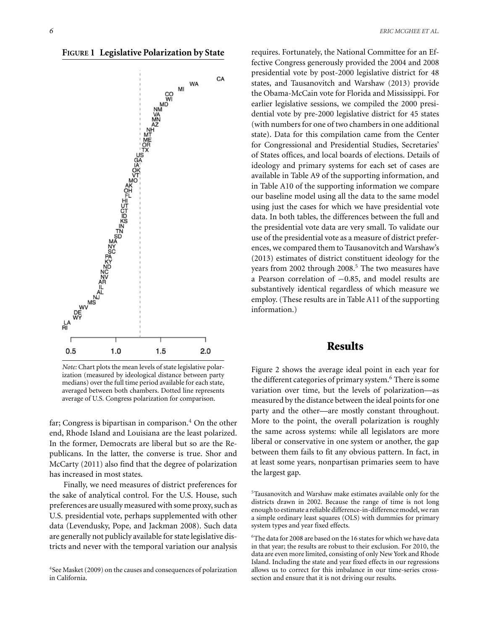

*Note:* Chart plots the mean levels of state legislative polarization (measured by ideological distance between party medians) over the full time period available for each state, averaged between both chambers. Dotted line represents average of U.S. Congress polarization for comparison.

far; Congress is bipartisan in comparison. $4$  On the other end, Rhode Island and Louisiana are the least polarized. In the former, Democrats are liberal but so are the Republicans. In the latter, the converse is true. Shor and McCarty (2011) also find that the degree of polarization has increased in most states.

Finally, we need measures of district preferences for the sake of analytical control. For the U.S. House, such preferences are usually measured with some proxy, such as U.S. presidential vote, perhaps supplemented with other data (Levendusky, Pope, and Jackman 2008). Such data are generally not publicly available for state legislative districts and never with the temporal variation our analysis

requires. Fortunately, the National Committee for an Effective Congress generously provided the 2004 and 2008 presidential vote by post-2000 legislative district for 48 states, and Tausanovitch and Warshaw (2013) provide the Obama-McCain vote for Florida and Mississippi. For earlier legislative sessions, we compiled the 2000 presidential vote by pre-2000 legislative district for 45 states (with numbers for one of two chambers in one additional state). Data for this compilation came from the Center for Congressional and Presidential Studies, Secretaries' of States offices, and local boards of elections. Details of ideology and primary systems for each set of cases are available in Table A9 of the supporting information, and in Table A10 of the supporting information we compare our baseline model using all the data to the same model using just the cases for which we have presidential vote data. In both tables, the differences between the full and the presidential vote data are very small. To validate our use of the presidential vote as a measure of district preferences, we compared them to Tausanovitch and Warshaw's (2013) estimates of district constituent ideology for the years from 2002 through 2008.<sup>5</sup> The two measures have a Pearson correlation of −0.85, and model results are substantively identical regardless of which measure we employ. (These results are in Table A11 of the supporting information.)

## **Results**

Figure 2 shows the average ideal point in each year for the different categories of primary system.<sup>6</sup> There is some variation over time, but the levels of polarization—as measured by the distance between the ideal points for one party and the other—are mostly constant throughout. More to the point, the overall polarization is roughly the same across systems: while all legislators are more liberal or conservative in one system or another, the gap between them fails to fit any obvious pattern. In fact, in at least some years, nonpartisan primaries seem to have the largest gap.

5Tausanovitch and Warshaw make estimates available only for the districts drawn in 2002. Because the range of time is not long enough to estimate a reliable difference-in-difference model, we ran a simple ordinary least squares (OLS) with dummies for primary system types and year fixed effects.

6The data for 2008 are based on the 16 states for which we have data in that year; the results are robust to their exclusion. For 2010, the data are even more limited, consisting of only New York and Rhode Island. Including the state and year fixed effects in our regressions allows us to correct for this imbalance in our time-series crosssection and ensure that it is not driving our results.

<sup>4</sup>See Masket (2009) on the causes and consequences of polarization in California.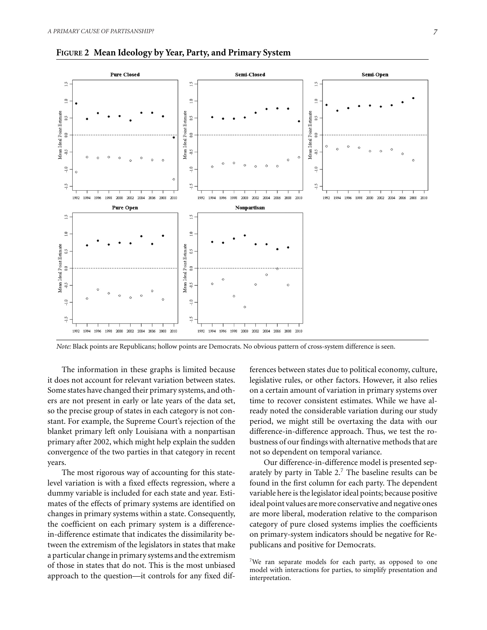

**FIGURE 2 Mean Ideology by Year, Party, and Primary System**

*Note:* Black points are Republicans; hollow points are Democrats. No obvious pattern of cross-system difference is seen.

The information in these graphs is limited because it does not account for relevant variation between states. Some states have changed their primary systems, and others are not present in early or late years of the data set, so the precise group of states in each category is not constant. For example, the Supreme Court's rejection of the blanket primary left only Louisiana with a nonpartisan primary after 2002, which might help explain the sudden convergence of the two parties in that category in recent years.

The most rigorous way of accounting for this statelevel variation is with a fixed effects regression, where a dummy variable is included for each state and year. Estimates of the effects of primary systems are identified on changes in primary systems within a state. Consequently, the coefficient on each primary system is a differencein-difference estimate that indicates the dissimilarity between the extremism of the legislators in states that make a particular change in primary systems and the extremism of those in states that do not. This is the most unbiased approach to the question—it controls for any fixed dif-

ferences between states due to political economy, culture, legislative rules, or other factors. However, it also relies on a certain amount of variation in primary systems over time to recover consistent estimates. While we have already noted the considerable variation during our study period, we might still be overtaxing the data with our difference-in-difference approach. Thus, we test the robustness of our findings with alternative methods that are not so dependent on temporal variance.

Our difference-in-difference model is presented separately by party in Table  $2<sup>7</sup>$ . The baseline results can be found in the first column for each party. The dependent variable here is the legislator ideal points; because positive ideal point values are more conservative and negative ones are more liberal, moderation relative to the comparison category of pure closed systems implies the coefficients on primary-system indicators should be negative for Republicans and positive for Democrats.

<sup>7</sup>We ran separate models for each party, as opposed to one model with interactions for parties, to simplify presentation and interpretation.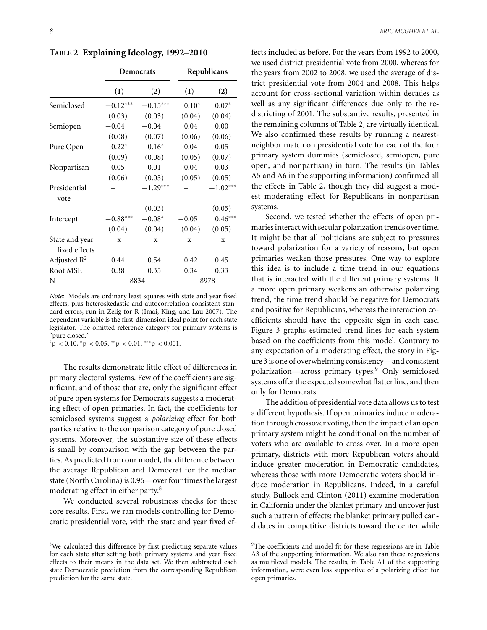**TABLE 2 Explaining Ideology, 1992–2010**

|                                 | Democrats   |             | Republicans |            |  |
|---------------------------------|-------------|-------------|-------------|------------|--|
|                                 | (1)         | (2)         | (1)         | (2)        |  |
| Semiclosed                      | $-0.12***$  | $-0.15***$  | $0.10*$     | $0.07*$    |  |
|                                 | (0.03)      | (0.03)      | (0.04)      | (0.04)     |  |
| Semiopen                        | $-0.04$     | $-0.04$     | 0.04        | 0.00       |  |
|                                 | (0.08)      | (0.07)      | (0.06)      | (0.06)     |  |
| Pure Open                       | $0.22*$     | $0.16*$     | $-0.04$     | $-0.05$    |  |
|                                 | (0.09)      | (0.08)      | (0.05)      | (0.07)     |  |
| Nonpartisan                     | 0.05        | 0.01        | 0.04        | 0.03       |  |
|                                 | (0.06)      | (0.05)      | (0.05)      | (0.05)     |  |
| Presidential                    |             | $-1.29***$  |             | $-1.02***$ |  |
| vote                            |             |             |             |            |  |
|                                 |             | (0.03)      |             | (0.05)     |  |
| Intercept                       | $-0.88***$  | $-0.08^{*}$ | $-0.05$     | $0.46***$  |  |
|                                 | (0.04)      | (0.04)      | (0.04)      | (0.05)     |  |
| State and year<br>fixed effects | $\mathbf X$ | $\mathbf x$ | X           | X          |  |
| Adjusted $R^2$                  | 0.44        | 0.54        | 0.42        | 0.45       |  |
| Root MSE                        | 0.38        | 0.35        | 0.34        | 0.33       |  |
| N                               | 8834        |             | 8978        |            |  |

*Note:* Models are ordinary least squares with state and year fixed effects, plus heteroskedastic and autocorrelation consistent standard errors, run in Zelig for R (Imai, King, and Lau 2007). The dependent variable is the first-dimension ideal point for each state legislator. The omitted reference category for primary systems is "pure closed."

#p *<* 0.10, <sup>∗</sup>p *<* 0.05, ∗∗p *<* 0.01, ∗∗∗p *<* 0.001.

The results demonstrate little effect of differences in primary electoral systems. Few of the coefficients are significant, and of those that are, only the significant effect of pure open systems for Democrats suggests a moderating effect of open primaries. In fact, the coefficients for semiclosed systems suggest a *polarizing* effect for both parties relative to the comparison category of pure closed systems. Moreover, the substantive size of these effects is small by comparison with the gap between the parties. As predicted from our model, the difference between the average Republican and Democrat for the median state (North Carolina) is 0.96—over four times the largest moderating effect in either party.<sup>8</sup>

We conducted several robustness checks for these core results. First, we ran models controlling for Democratic presidential vote, with the state and year fixed effects included as before. For the years from 1992 to 2000, we used district presidential vote from 2000, whereas for the years from 2002 to 2008, we used the average of district presidential vote from 2004 and 2008. This helps account for cross-sectional variation within decades as well as any significant differences due only to the redistricting of 2001. The substantive results, presented in the remaining columns of Table 2, are virtually identical. We also confirmed these results by running a nearestneighbor match on presidential vote for each of the four primary system dummies (semiclosed, semiopen, pure open, and nonpartisan) in turn. The results (in Tables A5 and A6 in the supporting information) confirmed all the effects in Table 2, though they did suggest a modest moderating effect for Republicans in nonpartisan systems.

Second, we tested whether the effects of open primaries interact with secular polarization trends over time. It might be that all politicians are subject to pressures toward polarization for a variety of reasons, but open primaries weaken those pressures. One way to explore this idea is to include a time trend in our equations that is interacted with the different primary systems. If a more open primary weakens an otherwise polarizing trend, the time trend should be negative for Democrats and positive for Republicans, whereas the interaction coefficients should have the opposite sign in each case. Figure 3 graphs estimated trend lines for each system based on the coefficients from this model. Contrary to any expectation of a moderating effect, the story in Figure 3 is one of overwhelming consistency—and consistent polarization—across primary types.<sup>9</sup> Only semiclosed systems offer the expected somewhat flatter line, and then only for Democrats.

The addition of presidential vote data allows us to test a different hypothesis. If open primaries induce moderation through crossover voting, then the impact of an open primary system might be conditional on the number of voters who are available to cross over. In a more open primary, districts with more Republican voters should induce greater moderation in Democratic candidates, whereas those with more Democratic voters should induce moderation in Republicans. Indeed, in a careful study, Bullock and Clinton (2011) examine moderation in California under the blanket primary and uncover just such a pattern of effects: the blanket primary pulled candidates in competitive districts toward the center while

<sup>&</sup>lt;sup>8</sup>We calculated this difference by first predicting separate values for each state after setting both primary systems and year fixed effects to their means in the data set. We then subtracted each state Democratic prediction from the corresponding Republican prediction for the same state.

<sup>&</sup>lt;sup>9</sup>The coefficients and model fit for these regressions are in Table A3 of the supporting information. We also ran these regressions as multilevel models. The results, in Table A1 of the supporting information, were even less supportive of a polarizing effect for open primaries.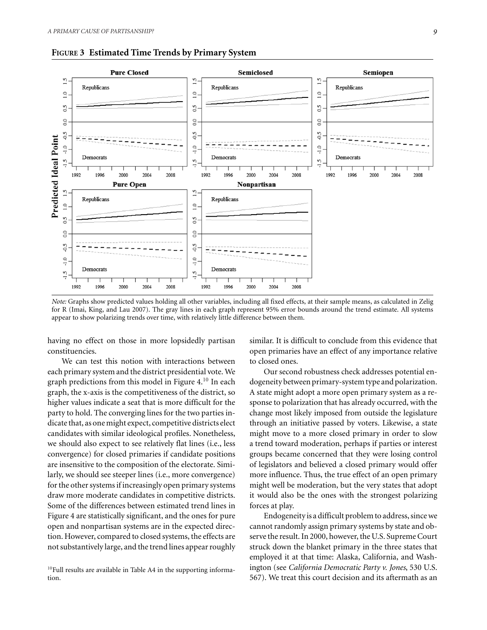

#### **FIGURE 3 Estimated Time Trends by Primary System**

*Note:* Graphs show predicted values holding all other variables, including all fixed effects, at their sample means, as calculated in Zelig for R (Imai, King, and Lau 2007). The gray lines in each graph represent 95% error bounds around the trend estimate. All systems appear to show polarizing trends over time, with relatively little difference between them.

having no effect on those in more lopsidedly partisan constituencies.

We can test this notion with interactions between each primary system and the district presidential vote. We graph predictions from this model in Figure 4.<sup>10</sup> In each graph, the x-axis is the competitiveness of the district, so higher values indicate a seat that is more difficult for the party to hold. The converging lines for the two parties indicate that, as one might expect, competitive districts elect candidates with similar ideological profiles. Nonetheless, we should also expect to see relatively flat lines (i.e., less convergence) for closed primaries if candidate positions are insensitive to the composition of the electorate. Similarly, we should see steeper lines (i.e., more convergence) for the other systems if increasingly open primary systems draw more moderate candidates in competitive districts. Some of the differences between estimated trend lines in Figure 4 are statistically significant, and the ones for pure open and nonpartisan systems are in the expected direction. However, compared to closed systems, the effects are not substantively large, and the trend lines appear roughly similar. It is difficult to conclude from this evidence that open primaries have an effect of any importance relative to closed ones.

Our second robustness check addresses potential endogeneity between primary-system type and polarization. A state might adopt a more open primary system as a response to polarization that has already occurred, with the change most likely imposed from outside the legislature through an initiative passed by voters. Likewise, a state might move to a more closed primary in order to slow a trend toward moderation, perhaps if parties or interest groups became concerned that they were losing control of legislators and believed a closed primary would offer more influence. Thus, the true effect of an open primary might well be moderation, but the very states that adopt it would also be the ones with the strongest polarizing forces at play.

Endogeneity is a difficult problem to address, since we cannot randomly assign primary systems by state and observe the result. In 2000, however, the U.S. Supreme Court struck down the blanket primary in the three states that employed it at that time: Alaska, California, and Washington (see *California Democratic Party v. Jones*, 530 U.S. 567). We treat this court decision and its aftermath as an

<sup>&</sup>lt;sup>10</sup>Full results are available in Table A4 in the supporting information.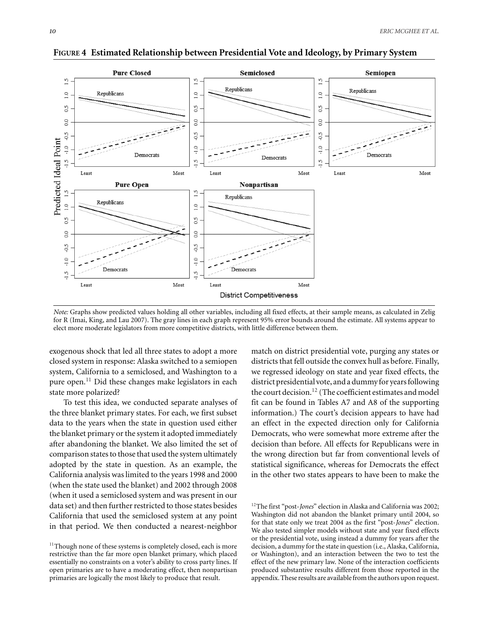

**FIGURE 4 Estimated Relationship between Presidential Vote and Ideology, by Primary System**

*Note:* Graphs show predicted values holding all other variables, including all fixed effects, at their sample means, as calculated in Zelig for R (Imai, King, and Lau 2007). The gray lines in each graph represent 95% error bounds around the estimate. All systems appear to elect more moderate legislators from more competitive districts, with little difference between them.

exogenous shock that led all three states to adopt a more closed system in response: Alaska switched to a semiopen system, California to a semiclosed, and Washington to a pure open.<sup>11</sup> Did these changes make legislators in each state more polarized?

To test this idea, we conducted separate analyses of the three blanket primary states. For each, we first subset data to the years when the state in question used either the blanket primary or the system it adopted immediately after abandoning the blanket. We also limited the set of comparison states to those that used the system ultimately adopted by the state in question. As an example, the California analysis was limited to the years 1998 and 2000 (when the state used the blanket) and 2002 through 2008 (when it used a semiclosed system and was present in our data set) and then further restricted to those states besides California that used the semiclosed system at any point in that period. We then conducted a nearest-neighbor

match on district presidential vote, purging any states or districts that fell outside the convex hull as before. Finally, we regressed ideology on state and year fixed effects, the district presidential vote, and a dummy for years following the court decision.<sup>12</sup> (The coefficient estimates and model fit can be found in Tables A7 and A8 of the supporting information.) The court's decision appears to have had an effect in the expected direction only for California Democrats, who were somewhat more extreme after the decision than before. All effects for Republicans were in the wrong direction but far from conventional levels of statistical significance, whereas for Democrats the effect in the other two states appears to have been to make the

<sup>&</sup>lt;sup>11</sup>Though none of these systems is completely closed, each is more restrictive than the far more open blanket primary, which placed essentially no constraints on a voter's ability to cross party lines. If open primaries are to have a moderating effect, then nonpartisan primaries are logically the most likely to produce that result.

<sup>&</sup>lt;sup>12</sup>The first "post-Jones" election in Alaska and California was 2002; Washington did not abandon the blanket primary until 2004, so for that state only we treat 2004 as the first "post-*Jones*" election. We also tested simpler models without state and year fixed effects or the presidential vote, using instead a dummy for years after the decision, a dummy for the state in question (i.e., Alaska, California, or Washington), and an interaction between the two to test the effect of the new primary law. None of the interaction coefficients produced substantive results different from those reported in the appendix. These results are available from the authors upon request.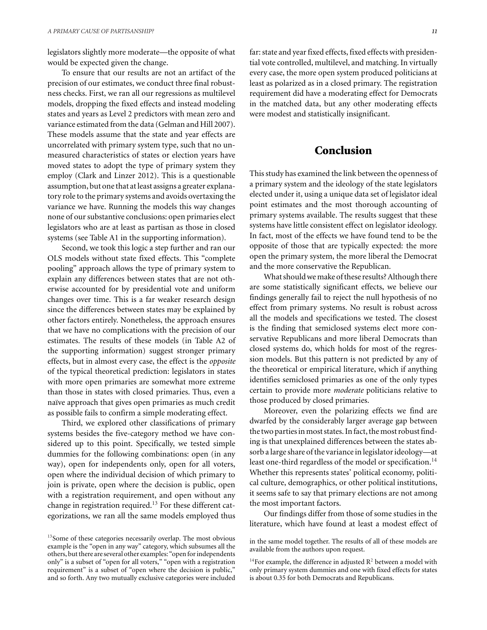legislators slightly more moderate—the opposite of what would be expected given the change.

To ensure that our results are not an artifact of the precision of our estimates, we conduct three final robustness checks. First, we ran all our regressions as multilevel models, dropping the fixed effects and instead modeling states and years as Level 2 predictors with mean zero and variance estimated from the data (Gelman and Hill 2007). These models assume that the state and year effects are uncorrelated with primary system type, such that no unmeasured characteristics of states or election years have moved states to adopt the type of primary system they employ (Clark and Linzer 2012). This is a questionable assumption, but one that at least assigns a greater explanatory role to the primary systems and avoids overtaxing the variance we have. Running the models this way changes none of our substantive conclusions: open primaries elect legislators who are at least as partisan as those in closed systems (see Table A1 in the supporting information).

Second, we took this logic a step further and ran our OLS models without state fixed effects. This "complete pooling" approach allows the type of primary system to explain any differences between states that are not otherwise accounted for by presidential vote and uniform changes over time. This is a far weaker research design since the differences between states may be explained by other factors entirely. Nonetheless, the approach ensures that we have no complications with the precision of our estimates. The results of these models (in Table A2 of the supporting information) suggest stronger primary effects, but in almost every case, the effect is the *opposite* of the typical theoretical prediction: legislators in states with more open primaries are somewhat more extreme than those in states with closed primaries. Thus, even a naïve approach that gives open primaries as much credit as possible fails to confirm a simple moderating effect.

Third, we explored other classifications of primary systems besides the five-category method we have considered up to this point. Specifically, we tested simple dummies for the following combinations: open (in any way), open for independents only, open for all voters, open where the individual decision of which primary to join is private, open where the decision is public, open with a registration requirement, and open without any change in registration required.<sup>13</sup> For these different categorizations, we ran all the same models employed thus far: state and year fixed effects, fixed effects with presidential vote controlled, multilevel, and matching. In virtually every case, the more open system produced politicians at least as polarized as in a closed primary. The registration requirement did have a moderating effect for Democrats in the matched data, but any other moderating effects were modest and statistically insignificant.

## **Conclusion**

This study has examined the link between the openness of a primary system and the ideology of the state legislators elected under it, using a unique data set of legislator ideal point estimates and the most thorough accounting of primary systems available. The results suggest that these systems have little consistent effect on legislator ideology. In fact, most of the effects we have found tend to be the opposite of those that are typically expected: the more open the primary system, the more liberal the Democrat and the more conservative the Republican.

What should wemake of these results? Although there are some statistically significant effects, we believe our findings generally fail to reject the null hypothesis of no effect from primary systems. No result is robust across all the models and specifications we tested. The closest is the finding that semiclosed systems elect more conservative Republicans and more liberal Democrats than closed systems do, which holds for most of the regression models. But this pattern is not predicted by any of the theoretical or empirical literature, which if anything identifies semiclosed primaries as one of the only types certain to provide more *moderate* politicians relative to those produced by closed primaries.

Moreover, even the polarizing effects we find are dwarfed by the considerably larger average gap between the two parties in most states. In fact, the most robust finding is that unexplained differences between the states absorb a large share of the variance in legislator ideology—at least one-third regardless of the model or specification. $^{14}$ Whether this represents states' political economy, political culture, demographics, or other political institutions, it seems safe to say that primary elections are not among the most important factors.

Our findings differ from those of some studies in the literature, which have found at least a modest effect of

<sup>&</sup>lt;sup>13</sup>Some of these categories necessarily overlap. The most obvious example is the "open in any way" category, which subsumes all the others, but there are several other examples: "openfor independents only" is a subset of "open for all voters," "open with a registration requirement" is a subset of "open where the decision is public," and so forth. Any two mutually exclusive categories were included

in the same model together. The results of all of these models are available from the authors upon request.

<sup>&</sup>lt;sup>14</sup>For example, the difference in adjusted  $R^2$  between a model with only primary system dummies and one with fixed effects for states is about 0.35 for both Democrats and Republicans.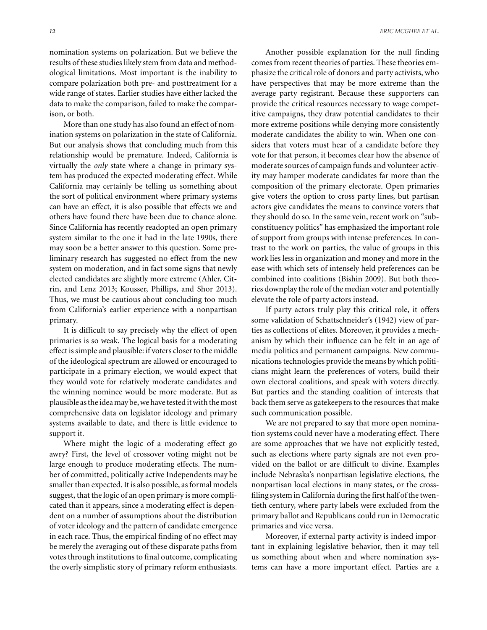nomination systems on polarization. But we believe the results of these studies likely stem from data and methodological limitations. Most important is the inability to compare polarization both pre- and posttreatment for a wide range of states. Earlier studies have either lacked the data to make the comparison, failed to make the comparison, or both.

More than one study has also found an effect of nomination systems on polarization in the state of California. But our analysis shows that concluding much from this relationship would be premature. Indeed, California is virtually the *only* state where a change in primary system has produced the expected moderating effect. While California may certainly be telling us something about the sort of political environment where primary systems can have an effect, it is also possible that effects we and others have found there have been due to chance alone. Since California has recently readopted an open primary system similar to the one it had in the late 1990s, there may soon be a better answer to this question. Some preliminary research has suggested no effect from the new system on moderation, and in fact some signs that newly elected candidates are slightly more extreme (Ahler, Citrin, and Lenz 2013; Kousser, Phillips, and Shor 2013). Thus, we must be cautious about concluding too much from California's earlier experience with a nonpartisan primary.

It is difficult to say precisely why the effect of open primaries is so weak. The logical basis for a moderating effect is simple and plausible: if voters closer to the middle of the ideological spectrum are allowed or encouraged to participate in a primary election, we would expect that they would vote for relatively moderate candidates and the winning nominee would be more moderate. But as plausible as the idea may be, we have tested it with the most comprehensive data on legislator ideology and primary systems available to date, and there is little evidence to support it.

Where might the logic of a moderating effect go awry? First, the level of crossover voting might not be large enough to produce moderating effects. The number of committed, politically active Independents may be smaller than expected. It is also possible, as formal models suggest, that the logic of an open primary is more complicated than it appears, since a moderating effect is dependent on a number of assumptions about the distribution of voter ideology and the pattern of candidate emergence in each race. Thus, the empirical finding of no effect may be merely the averaging out of these disparate paths from votes through institutions to final outcome, complicating the overly simplistic story of primary reform enthusiasts.

Another possible explanation for the null finding comes from recent theories of parties. These theories emphasize the critical role of donors and party activists, who have perspectives that may be more extreme than the average party registrant. Because these supporters can provide the critical resources necessary to wage competitive campaigns, they draw potential candidates to their more extreme positions while denying more consistently moderate candidates the ability to win. When one considers that voters must hear of a candidate before they vote for that person, it becomes clear how the absence of moderate sources of campaign funds and volunteer activity may hamper moderate candidates far more than the composition of the primary electorate. Open primaries give voters the option to cross party lines, but partisan actors give candidates the means to convince voters that they should do so. In the same vein, recent work on "subconstituency politics" has emphasized the important role of support from groups with intense preferences. In contrast to the work on parties, the value of groups in this work lies less in organization and money and more in the ease with which sets of intensely held preferences can be combined into coalitions (Bishin 2009). But both theories downplay the role of the median voter and potentially elevate the role of party actors instead.

If party actors truly play this critical role, it offers some validation of Schattschneider's (1942) view of parties as collections of elites. Moreover, it provides a mechanism by which their influence can be felt in an age of media politics and permanent campaigns. New communications technologies provide the means by which politicians might learn the preferences of voters, build their own electoral coalitions, and speak with voters directly. But parties and the standing coalition of interests that back them serve as gatekeepers to the resources that make such communication possible.

We are not prepared to say that more open nomination systems could never have a moderating effect. There are some approaches that we have not explicitly tested, such as elections where party signals are not even provided on the ballot or are difficult to divine. Examples include Nebraska's nonpartisan legislative elections, the nonpartisan local elections in many states, or the crossfiling system in California during the first half of the twentieth century, where party labels were excluded from the primary ballot and Republicans could run in Democratic primaries and vice versa.

Moreover, if external party activity is indeed important in explaining legislative behavior, then it may tell us something about when and where nomination systems can have a more important effect. Parties are a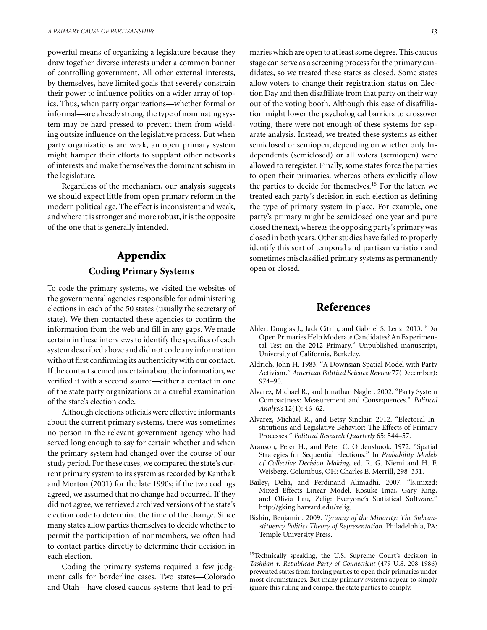powerful means of organizing a legislature because they draw together diverse interests under a common banner of controlling government. All other external interests, by themselves, have limited goals that severely constrain their power to influence politics on a wider array of topics. Thus, when party organizations—whether formal or informal—are already strong, the type of nominating system may be hard pressed to prevent them from wielding outsize influence on the legislative process. But when party organizations are weak, an open primary system might hamper their efforts to supplant other networks of interests and make themselves the dominant schism in the legislature.

Regardless of the mechanism, our analysis suggests we should expect little from open primary reform in the modern political age. The effect is inconsistent and weak, and where it is stronger and more robust, it is the opposite of the one that is generally intended.

## **Appendix Coding Primary Systems**

To code the primary systems, we visited the websites of the governmental agencies responsible for administering elections in each of the 50 states (usually the secretary of state). We then contacted these agencies to confirm the information from the web and fill in any gaps. We made certain in these interviews to identify the specifics of each system described above and did not code any information without first confirming its authenticity with our contact. If the contact seemed uncertain about the information, we verified it with a second source—either a contact in one of the state party organizations or a careful examination of the state's election code.

Although elections officials were effective informants about the current primary systems, there was sometimes no person in the relevant government agency who had served long enough to say for certain whether and when the primary system had changed over the course of our study period. For these cases, we compared the state's current primary system to its system as recorded by Kanthak and Morton (2001) for the late 1990s; if the two codings agreed, we assumed that no change had occurred. If they did not agree, we retrieved archived versions of the state's election code to determine the time of the change. Since many states allow parties themselves to decide whether to permit the participation of nonmembers, we often had to contact parties directly to determine their decision in each election.

Coding the primary systems required a few judgment calls for borderline cases. Two states—Colorado and Utah—have closed caucus systems that lead to primaries which are open to at least some degree. This caucus stage can serve as a screening process for the primary candidates, so we treated these states as closed. Some states allow voters to change their registration status on Election Day and then disaffiliate from that party on their way out of the voting booth. Although this ease of disaffiliation might lower the psychological barriers to crossover voting, there were not enough of these systems for separate analysis. Instead, we treated these systems as either semiclosed or semiopen, depending on whether only Independents (semiclosed) or all voters (semiopen) were allowed to reregister. Finally, some states force the parties to open their primaries, whereas others explicitly allow the parties to decide for themselves.<sup>15</sup> For the latter, we treated each party's decision in each election as defining the type of primary system in place. For example, one party's primary might be semiclosed one year and pure closed the next, whereas the opposing party's primary was closed in both years. Other studies have failed to properly identify this sort of temporal and partisan variation and sometimes misclassified primary systems as permanently

## **References**

open or closed.

- Ahler, Douglas J., Jack Citrin, and Gabriel S. Lenz. 2013. "Do Open Primaries Help Moderate Candidates? An Experimental Test on the 2012 Primary." Unpublished manuscript, University of California, Berkeley.
- Aldrich, John H. 1983. "A Downsian Spatial Model with Party Activism." *American Political Science Review* 77(December): 974–90.
- Alvarez, Michael R., and Jonathan Nagler. 2002. "Party System Compactness: Measurement and Consequences." *Political Analysis* 12(1): 46–62.
- Alvarez, Michael R., and Betsy Sinclair. 2012. "Electoral Institutions and Legislative Behavior: The Effects of Primary Processes." *Political Research Quarterly* 65: 544–57.
- Aranson, Peter H., and Peter C. Ordenshook. 1972. "Spatial Strategies for Sequential Elections." In *Probability Models of Collective Decision Making*, ed. R. G. Niemi and H. F. Weisberg. Columbus, OH: Charles E. Merrill, 298–331.
- Bailey, Delia, and Ferdinand Alimadhi. 2007. "ls.mixed: Mixed Effects Linear Model. Kosuke Imai, Gary King, and Olivia Lau, Zelig: Everyone's Statistical Software.' http://gking.harvard.edu/zelig.
- Bishin, Benjamin. 2009. *Tyranny of the Minority: The Subconstituency Politics Theory of Representation*. Philadelphia, PA: Temple University Press.

<sup>15</sup>Technically speaking, the U.S. Supreme Court's decision in *Tashjian v. Republican Party of Connecticut* (479 U.S. 208 1986) prevented states from forcing parties to open their primaries under most circumstances. But many primary systems appear to simply ignore this ruling and compel the state parties to comply.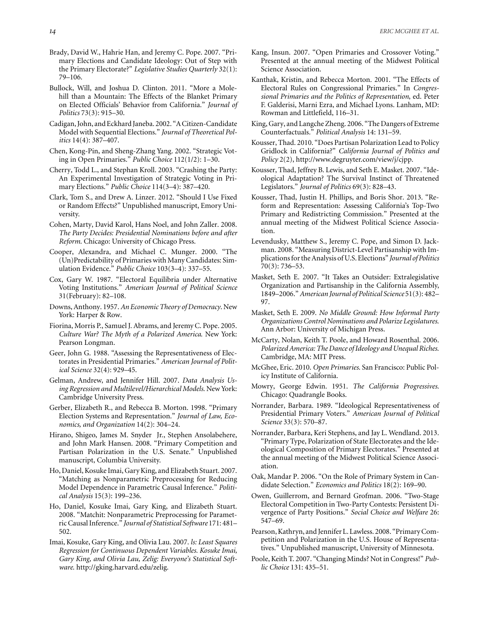- Brady, David W., Hahrie Han, and Jeremy C. Pope. 2007. "Primary Elections and Candidate Ideology: Out of Step with the Primary Electorate?" *Legislative Studies Quarterly* 32(1): 79–106.
- Bullock, Will, and Joshua D. Clinton. 2011. "More a Molehill than a Mountain: The Effects of the Blanket Primary on Elected Officials' Behavior from California." *Journal of Politics* 73(3): 915–30.
- Cadigan, John, and Eckhard Janeba. 2002. "A Citizen-Candidate Model with Sequential Elections." *Journal of Theoretical Politics* 14(4): 387–407.
- Chen, Kong-Pin, and Sheng-Zhang Yang. 2002. "Strategic Voting in Open Primaries." *Public Choice* 112(1/2): 1–30.
- Cherry, Todd L., and Stephan Kroll. 2003. "Crashing the Party: An Experimental Investigation of Strategic Voting in Primary Elections." *Public Choice* 114(3–4): 387–420.
- Clark, Tom S., and Drew A. Linzer. 2012. "Should I Use Fixed or Random Effects?" Unpublished manuscript, Emory University.
- Cohen, Marty, David Karol, Hans Noel, and John Zaller. 2008. *The Party Decides: Presidential Nominations before and after Reform*. Chicago: University of Chicago Press.
- Cooper, Alexandra, and Michael C. Munger. 2000. "The (Un)Predictability of Primaries with Many Candidates: Simulation Evidence." *Public Choice* 103(3–4): 337–55.
- Cox, Gary W. 1987. "Electoral Equilibria under Alternative Voting Institutions." *American Journal of Political Science* 31(February): 82–108.
- Downs, Anthony. 1957. *An Economic Theory of Democracy*. New York: Harper & Row.
- Fiorina, Morris P., Samuel J. Abrams, and Jeremy C. Pope. 2005. *Culture War? The Myth of a Polarized America*. New York: Pearson Longman.
- Geer, John G. 1988. "Assessing the Representativeness of Electorates in Presidential Primaries." *American Journal of Political Science* 32(4): 929–45.
- Gelman, Andrew, and Jennifer Hill. 2007. *Data Analysis Using Regression and Multilevel/Hierarchical Models*. New York: Cambridge University Press.
- Gerber, Elizabeth R., and Rebecca B. Morton. 1998. "Primary Election Systems and Representation." *Journal of Law, Economics, and Organization* 14(2): 304–24.
- Hirano, Shigeo, James M. Snyder Jr., Stephen Ansolabehere, and John Mark Hansen. 2008. "Primary Competition and Partisan Polarization in the U.S. Senate." Unpublished manuscript, Columbia University.
- Ho, Daniel, Kosuke Imai, Gary King, and Elizabeth Stuart. 2007. "Matching as Nonparametric Preprocessing for Reducing Model Dependence in Parametric Causal Inference." *Political Analysis* 15(3): 199–236.
- Ho, Daniel, Kosuke Imai, Gary King, and Elizabeth Stuart. 2008. "Matchit: Nonparametric Preprocessing for Parametric Causal Inference." *Journal of Statistical Software* 171: 481– 502.
- Imai, Kosuke, Gary King, and Olivia Lau. 2007. *ls: Least Squares Regression for Continuous Dependent Variables. Kosuke Imai, Gary King, and Olivia Lau, Zelig: Everyone's Statistical Software*. http://gking.harvard.edu/zelig.
- Kang, Insun. 2007. "Open Primaries and Crossover Voting." Presented at the annual meeting of the Midwest Political Science Association.
- Kanthak, Kristin, and Rebecca Morton. 2001. "The Effects of Electoral Rules on Congressional Primaries." In *Congressional Primaries and the Politics of Representation*, ed. Peter F. Galderisi, Marni Ezra, and Michael Lyons. Lanham, MD: Rowman and Littlefield, 116–31.
- King, Gary, and Langche Zheng. 2006. "The Dangers of Extreme Counterfactuals." *Political Analysis* 14: 131–59.
- Kousser, Thad. 2010. "Does Partisan Polarization Lead to Policy Gridlock in California?" *California Journal of Politics and Policy* 2(2), http://www.degruyter.com/view/j/cjpp.
- Kousser, Thad, Jeffrey B. Lewis, and Seth E. Masket. 2007. "Ideological Adaptation? The Survival Instinct of Threatened Legislators." *Journal of Politics* 69(3): 828–43.
- Kousser, Thad, Justin H. Phillips, and Boris Shor. 2013. "Reform and Representation: Assessing California's Top-Two Primary and Redistricting Commission." Presented at the annual meeting of the Midwest Political Science Association.
- Levendusky, Matthew S., Jeremy C. Pope, and Simon D. Jackman. 2008. "Measuring District-Level Partisanship with Implicationsfor the Analysis of U.S. Elections" *Journal of Politics* 70(3): 736–53.
- Masket, Seth E. 2007. "It Takes an Outsider: Extralegislative Organization and Partisanship in the California Assembly, 1849–2006."*American Journal of Political Science* 51(3): 482– 97.
- Masket, Seth E. 2009. *No Middle Ground: How Informal Party Organizations Control Nominations and Polarize Legislatures*. Ann Arbor: University of Michigan Press.
- McCarty, Nolan, Keith T. Poole, and Howard Rosenthal. 2006. *Polarized America: The Dance of Ideology and Unequal Riches*. Cambridge, MA: MIT Press.
- McGhee, Eric. 2010. *Open Primaries*. San Francisco: Public Policy Institute of California.
- Mowry, George Edwin. 1951. *The California Progressives*. Chicago: Quadrangle Books.
- Norrander, Barbara. 1989. "Ideological Representativeness of Presidential Primary Voters." *American Journal of Political Science* 33(3): 570–87.
- Norrander, Barbara, Keri Stephens, and Jay L. Wendland. 2013. "Primary Type, Polarization of State Electorates and the Ideological Composition of Primary Electorates." Presented at the annual meeting of the Midwest Political Science Association.
- Oak, Mandar P. 2006. "On the Role of Primary System in Candidate Selection." *Economics and Politics* 18(2): 169–90.
- Owen, Guillerrom, and Bernard Grofman. 2006. "Two-Stage Electoral Competition in Two-Party Contests: Persistent Divergence of Party Positions." *Social Choice and Welfare* 26: 547–69.
- Pearson, Kathryn, and Jennifer L. Lawless. 2008. "Primary Competition and Polarization in the U.S. House of Representatives." Unpublished manuscript, University of Minnesota.
- Poole, Keith T. 2007. "Changing Minds? Not in Congress!" *Public Choice* 131: 435–51.